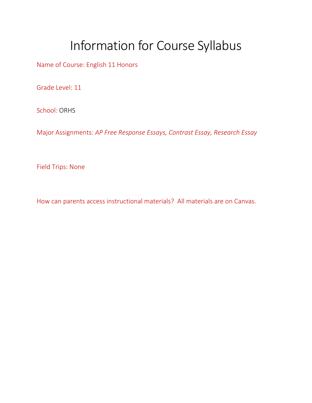## Information for Course Syllabus

Name of Course: English 11 Honors

Grade Level: 11

School: ORHS

Major Assignments: *AP Free Response Essays, Contrast Essay, Research Essay*

Field Trips: None

How can parents access instructional materials? All materials are on Canvas.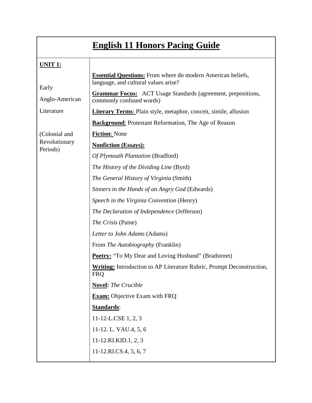|                           | <b>English 11 Honors Pacing Guide</b>                                                                      |
|---------------------------|------------------------------------------------------------------------------------------------------------|
| <b>UNIT 1:</b>            |                                                                                                            |
|                           | <b>Essential Questions:</b> From where do modern American beliefs,<br>language, and cultural values arise? |
| Early<br>Anglo-American   | <b>Grammar Focus:</b> ACT Usage Standards (agreement, prepositions,<br>commonly confused words)            |
| Literature                | <b>Literary Terms:</b> Plain style, metaphor, conceit, simile, allusion                                    |
|                           | <b>Background:</b> Protestant Reformation, The Age of Reason                                               |
| (Colonial and             | <b>Fiction: None</b>                                                                                       |
| Revolutionary<br>Periods) | <b>Nonfiction (Essays):</b>                                                                                |
|                           | Of Plymouth Plantation (Bradford)                                                                          |
|                           | The History of the Dividing Line (Byrd)                                                                    |
|                           | <i>The General History of Virginia (Smith)</i>                                                             |
|                           | Sinners in the Hands of an Angry God (Edwards)                                                             |
|                           | Speech in the Virginia Convention (Henry)                                                                  |
|                           | The Declaration of Independence (Jefferson)                                                                |
|                           | The Crisis (Paine)                                                                                         |
|                           | Letter to John Adams (Adams)                                                                               |
|                           | From The Autobiography (Franklin)                                                                          |
|                           | <b>Poetry:</b> "To My Dear and Loving Husband" (Bradstreet)                                                |
|                           | <b>Writing:</b> Introduction to AP Literature Rubric, Prompt Deconstruction,<br><b>FRQ</b>                 |
|                           | <b>Novel:</b> The Crucible                                                                                 |
|                           | <b>Exam:</b> Objective Exam with FRQ                                                                       |
|                           | Standards:                                                                                                 |
|                           | 11-12-L.CSE 1, 2, 3                                                                                        |
|                           | 11-12. L. VAU.4, 5, 6                                                                                      |
|                           | 11-12.RI.KID.1, 2, 3                                                                                       |
|                           | 11-12.RICS.4, 5, 6, 7                                                                                      |
|                           |                                                                                                            |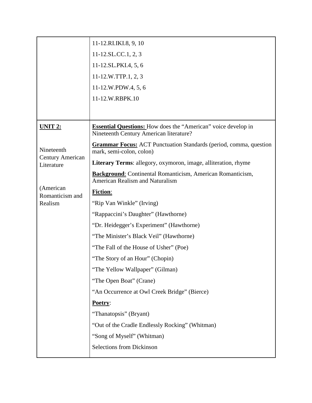|                                       | 11-12.RI.IKI.8, 9, 10                                                                                           |
|---------------------------------------|-----------------------------------------------------------------------------------------------------------------|
|                                       | 11-12.SL.CC.1, 2, 3                                                                                             |
|                                       | 11-12.SL.PKI.4, 5, 6                                                                                            |
|                                       | 11-12.W.TTP.1, 2, 3                                                                                             |
|                                       | 11-12.W.PDW.4, 5, 6                                                                                             |
|                                       | 11-12.W.RBPK.10                                                                                                 |
|                                       |                                                                                                                 |
| <b>UNIT 2:</b>                        | <b>Essential Questions:</b> How does the "American" voice develop in<br>Nineteenth Century American literature? |
| Nineteenth                            | <b>Grammar Focus:</b> ACT Punctuation Standards (period, comma, question<br>mark, semi-colon, colon)            |
| <b>Century American</b><br>Literature | Literary Terms: allegory, oxymoron, image, alliteration, rhyme                                                  |
|                                       | <b>Background:</b> Continental Romanticism, American Romanticism,<br><b>American Realism and Naturalism</b>     |
| (American<br>Romanticism and          | <b>Fiction:</b>                                                                                                 |
| Realism                               | "Rip Van Winkle" (Irving)                                                                                       |
|                                       | "Rappaccini's Daughter" (Hawthorne)                                                                             |
|                                       | "Dr. Heidegger's Experiment" (Hawthorne)                                                                        |
|                                       | "The Minister's Black Veil" (Hawthorne)                                                                         |
|                                       | "The Fall of the House of Usher" (Poe)                                                                          |
|                                       | "The Story of an Hour" (Chopin)                                                                                 |
|                                       | "The Yellow Wallpaper" (Gilman)                                                                                 |
|                                       | "The Open Boat" (Crane)                                                                                         |
|                                       | "An Occurrence at Owl Creek Bridge" (Bierce)                                                                    |
|                                       | Poetry:                                                                                                         |
|                                       | "Thanatopsis" (Bryant)                                                                                          |
|                                       | "Out of the Cradle Endlessly Rocking" (Whitman)                                                                 |
|                                       | "Song of Myself" (Whitman)                                                                                      |
|                                       | <b>Selections from Dickinson</b>                                                                                |
|                                       |                                                                                                                 |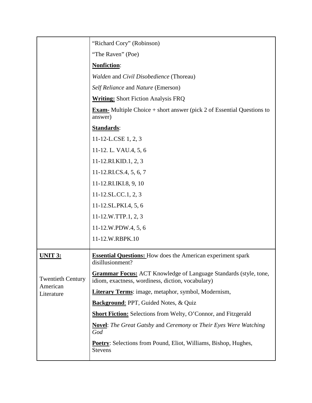|                                                    | "Richard Cory" (Robinson)                                                                                                    |
|----------------------------------------------------|------------------------------------------------------------------------------------------------------------------------------|
|                                                    | "The Raven" (Poe)                                                                                                            |
|                                                    | <b>Nonfiction:</b>                                                                                                           |
|                                                    | Walden and Civil Disobedience (Thoreau)                                                                                      |
|                                                    | Self Reliance and Nature (Emerson)                                                                                           |
|                                                    | <b>Writing:</b> Short Fiction Analysis FRQ                                                                                   |
|                                                    | <b>Exam-</b> Multiple Choice $+$ short answer (pick 2 of Essential Questions to<br>answer)                                   |
|                                                    | Standards:                                                                                                                   |
|                                                    | 11-12-L.CSE 1, 2, 3                                                                                                          |
|                                                    | 11-12. L. VAU.4, 5, 6                                                                                                        |
|                                                    | 11-12.RI.KID.1, 2, 3                                                                                                         |
|                                                    | 11-12.RICS.4, 5, 6, 7                                                                                                        |
|                                                    | 11-12.RI.IKI.8, 9, 10                                                                                                        |
|                                                    | $11-12$ .SL.CC.1, 2, 3                                                                                                       |
|                                                    | 11-12.SL.PKI.4, 5, 6                                                                                                         |
|                                                    | 11-12.W.TTP.1, 2, 3                                                                                                          |
|                                                    | 11-12.W.PDW.4, 5, 6                                                                                                          |
|                                                    | 11-12.W.RBPK.10                                                                                                              |
| <u>UNIT 3:</u>                                     | <b>Essential Questions:</b> How does the American experiment spark<br>disillusionment?                                       |
| <b>Twentieth Century</b><br>American<br>Literature | <b>Grammar Focus:</b> ACT Knowledge of Language Standards (style, tone,<br>idiom, exactness, wordiness, diction, vocabulary) |
|                                                    | <b>Literary Terms:</b> image, metaphor, symbol, Modernism,                                                                   |
|                                                    | <b>Background:</b> PPT, Guided Notes, & Quiz                                                                                 |
|                                                    | <b>Short Fiction:</b> Selections from Welty, O'Connor, and Fitzgerald                                                        |
|                                                    | <b>Novel:</b> The Great Gatsby and Ceremony or Their Eyes Were Watching<br>God                                               |
|                                                    | <b>Poetry:</b> Selections from Pound, Eliot, Williams, Bishop, Hughes,<br><b>Stevens</b>                                     |
|                                                    |                                                                                                                              |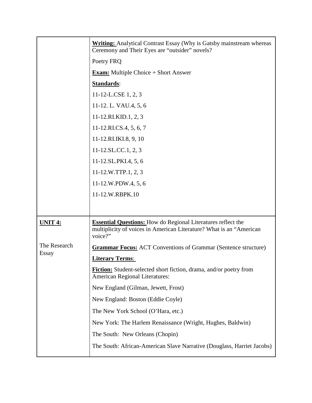|                       | <b>Writing:</b> Analytical Contrast Essay (Why is Gatsby mainstream whereas<br>Ceremony and Their Eyes are "outsider" novels?                         |
|-----------------------|-------------------------------------------------------------------------------------------------------------------------------------------------------|
|                       | Poetry FRQ                                                                                                                                            |
|                       | <b>Exam:</b> Multiple Choice $+$ Short Answer                                                                                                         |
|                       | <b>Standards:</b>                                                                                                                                     |
|                       | 11-12-L.CSE 1, 2, 3                                                                                                                                   |
|                       | 11-12. L. VAU.4, 5, 6                                                                                                                                 |
|                       | 11-12.RI.KID.1, 2, 3                                                                                                                                  |
|                       | 11-12.RICS.4, 5, 6, 7                                                                                                                                 |
|                       | 11-12.RI.IKI.8, 9, 10                                                                                                                                 |
|                       | $11-12$ .SL.CC.1, 2, 3                                                                                                                                |
|                       | 11-12.SL.PKI.4, 5, 6                                                                                                                                  |
|                       | 11-12.W.TTP.1, 2, 3                                                                                                                                   |
|                       | 11-12.W.PDW.4, 5, 6                                                                                                                                   |
|                       | 11-12.W.RBPK.10                                                                                                                                       |
|                       |                                                                                                                                                       |
| <u>UNIT 4:</u>        | <b>Essential Questions:</b> How do Regional Literatures reflect the<br>multiplicity of voices in American Literature? What is an "American<br>voice?" |
| The Research<br>Essay | <b>Grammar Focus:</b> ACT Conventions of Grammar (Sentence structure)                                                                                 |
|                       | <b>Literary Terms:</b>                                                                                                                                |
|                       | Fiction: Student-selected short fiction, drama, and/or poetry from<br><b>American Regional Literatures:</b>                                           |
|                       | New England (Gilman, Jewett, Frost)                                                                                                                   |
|                       | New England: Boston (Eddie Coyle)                                                                                                                     |
|                       | The New York School (O'Hara, etc.)                                                                                                                    |
|                       | New York: The Harlem Renaissance (Wright, Hughes, Baldwin)                                                                                            |
|                       | The South: New Orleans (Chopin)                                                                                                                       |
|                       |                                                                                                                                                       |